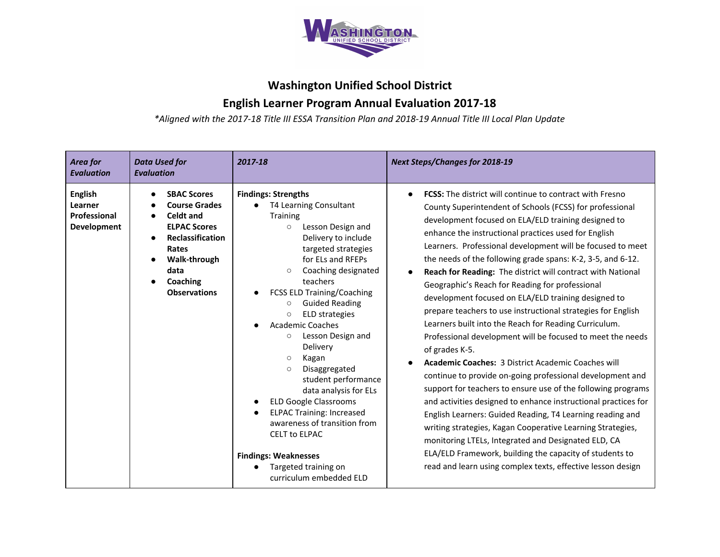

## **Washington Unified School District**

## **English Learner Program Annual Evaluation 2017-18**

*\*Aligned with the 2017-18 Title III ESSA Transition Plan and 2018-19 Annual Title III Local Plan Update*

| Area for<br><b>Evaluation</b>                                   | <b>Data Used for</b><br><b>Evaluation</b>                                                                                                                              | 2017-18                                                                                                                                                                                                                                                                                                                                                                                                                                                                                                                                                                                                                                                                                                         | <b>Next Steps/Changes for 2018-19</b>                                                                                                                                                                                                                                                                                                                                                                                                                                                                                                                                                                                                                                                                                                                                                                                                                                                                                                                                                                                                                                                                                                                                                                                                                                                                                                                              |
|-----------------------------------------------------------------|------------------------------------------------------------------------------------------------------------------------------------------------------------------------|-----------------------------------------------------------------------------------------------------------------------------------------------------------------------------------------------------------------------------------------------------------------------------------------------------------------------------------------------------------------------------------------------------------------------------------------------------------------------------------------------------------------------------------------------------------------------------------------------------------------------------------------------------------------------------------------------------------------|--------------------------------------------------------------------------------------------------------------------------------------------------------------------------------------------------------------------------------------------------------------------------------------------------------------------------------------------------------------------------------------------------------------------------------------------------------------------------------------------------------------------------------------------------------------------------------------------------------------------------------------------------------------------------------------------------------------------------------------------------------------------------------------------------------------------------------------------------------------------------------------------------------------------------------------------------------------------------------------------------------------------------------------------------------------------------------------------------------------------------------------------------------------------------------------------------------------------------------------------------------------------------------------------------------------------------------------------------------------------|
| <b>English</b><br>Learner<br>Professional<br><b>Development</b> | <b>SBAC Scores</b><br><b>Course Grades</b><br>Celdt and<br><b>ELPAC Scores</b><br>Reclassification<br>Rates<br>Walk-through<br>data<br>Coaching<br><b>Observations</b> | <b>Findings: Strengths</b><br>T4 Learning Consultant<br><b>Training</b><br>Lesson Design and<br>$\circ$<br>Delivery to include<br>targeted strategies<br>for ELs and RFEPs<br>Coaching designated<br>teachers<br><b>FCSS ELD Training/Coaching</b><br><b>Guided Reading</b><br>$\circ$<br><b>ELD</b> strategies<br>$\circ$<br><b>Academic Coaches</b><br>Lesson Design and<br>$\circ$<br>Delivery<br>Kagan<br>$\circ$<br>Disaggregated<br>$\circ$<br>student performance<br>data analysis for ELs<br><b>ELD Google Classrooms</b><br><b>ELPAC Training: Increased</b><br>awareness of transition from<br><b>CELT to ELPAC</b><br><b>Findings: Weaknesses</b><br>Targeted training on<br>curriculum embedded ELD | <b>FCSS:</b> The district will continue to contract with Fresno<br>$\bullet$<br>County Superintendent of Schools (FCSS) for professional<br>development focused on ELA/ELD training designed to<br>enhance the instructional practices used for English<br>Learners. Professional development will be focused to meet<br>the needs of the following grade spans: K-2, 3-5, and 6-12.<br><b>Reach for Reading: The district will contract with National</b><br>$\bullet$<br>Geographic's Reach for Reading for professional<br>development focused on ELA/ELD training designed to<br>prepare teachers to use instructional strategies for English<br>Learners built into the Reach for Reading Curriculum.<br>Professional development will be focused to meet the needs<br>of grades K-5.<br><b>Academic Coaches: 3 District Academic Coaches will</b><br>continue to provide on-going professional development and<br>support for teachers to ensure use of the following programs<br>and activities designed to enhance instructional practices for<br>English Learners: Guided Reading, T4 Learning reading and<br>writing strategies, Kagan Cooperative Learning Strategies,<br>monitoring LTELs, Integrated and Designated ELD, CA<br>ELA/ELD Framework, building the capacity of students to<br>read and learn using complex texts, effective lesson design |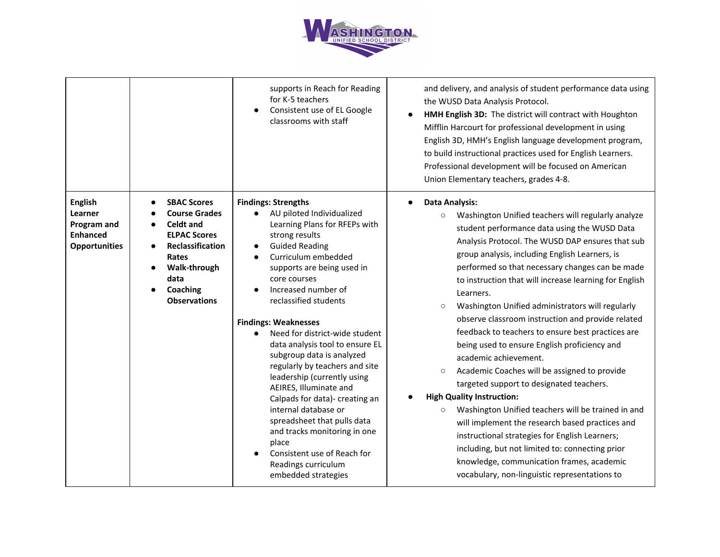

|                                                                                     |                                                                                                                                                                                      | supports in Reach for Reading<br>for K-5 teachers<br>Consistent use of EL Google<br>classrooms with staff                                                                                                                                                                                                                                                                                                                                                                                                                                                                                                                                                                                           | and delivery, and analysis of student performance data using<br>the WUSD Data Analysis Protocol.<br>HMH English 3D: The district will contract with Houghton<br>Mifflin Harcourt for professional development in using<br>English 3D, HMH's English language development program,<br>to build instructional practices used for English Learners.<br>Professional development will be focused on American<br>Union Elementary teachers, grades 4-8.                                                                                                                                                                                                                                                                                                                                                                                                                                                                                                                                                                                                                                         |
|-------------------------------------------------------------------------------------|--------------------------------------------------------------------------------------------------------------------------------------------------------------------------------------|-----------------------------------------------------------------------------------------------------------------------------------------------------------------------------------------------------------------------------------------------------------------------------------------------------------------------------------------------------------------------------------------------------------------------------------------------------------------------------------------------------------------------------------------------------------------------------------------------------------------------------------------------------------------------------------------------------|--------------------------------------------------------------------------------------------------------------------------------------------------------------------------------------------------------------------------------------------------------------------------------------------------------------------------------------------------------------------------------------------------------------------------------------------------------------------------------------------------------------------------------------------------------------------------------------------------------------------------------------------------------------------------------------------------------------------------------------------------------------------------------------------------------------------------------------------------------------------------------------------------------------------------------------------------------------------------------------------------------------------------------------------------------------------------------------------|
| <b>English</b><br>Learner<br>Program and<br><b>Enhanced</b><br><b>Opportunities</b> | <b>SBAC Scores</b><br><b>Course Grades</b><br><b>Celdt and</b><br><b>ELPAC Scores</b><br><b>Reclassification</b><br>Rates<br>Walk-through<br>data<br>Coaching<br><b>Observations</b> | <b>Findings: Strengths</b><br>AU piloted Individualized<br>Learning Plans for RFEPs with<br>strong results<br><b>Guided Reading</b><br>Curriculum embedded<br>supports are being used in<br>core courses<br>Increased number of<br>reclassified students<br><b>Findings: Weaknesses</b><br>Need for district-wide student<br>data analysis tool to ensure EL<br>subgroup data is analyzed<br>regularly by teachers and site<br>leadership (currently using<br>AEIRES, Illuminate and<br>Calpads for data)- creating an<br>internal database or<br>spreadsheet that pulls data<br>and tracks monitoring in one<br>place<br>Consistent use of Reach for<br>Readings curriculum<br>embedded strategies | <b>Data Analysis:</b><br>Washington Unified teachers will regularly analyze<br>$\circ$<br>student performance data using the WUSD Data<br>Analysis Protocol. The WUSD DAP ensures that sub<br>group analysis, including English Learners, is<br>performed so that necessary changes can be made<br>to instruction that will increase learning for English<br>Learners.<br>Washington Unified administrators will regularly<br>$\circ$<br>observe classroom instruction and provide related<br>feedback to teachers to ensure best practices are<br>being used to ensure English proficiency and<br>academic achievement.<br>Academic Coaches will be assigned to provide<br>$\circ$<br>targeted support to designated teachers.<br><b>High Quality Instruction:</b><br>Washington Unified teachers will be trained in and<br>$\circ$<br>will implement the research based practices and<br>instructional strategies for English Learners;<br>including, but not limited to: connecting prior<br>knowledge, communication frames, academic<br>vocabulary, non-linguistic representations to |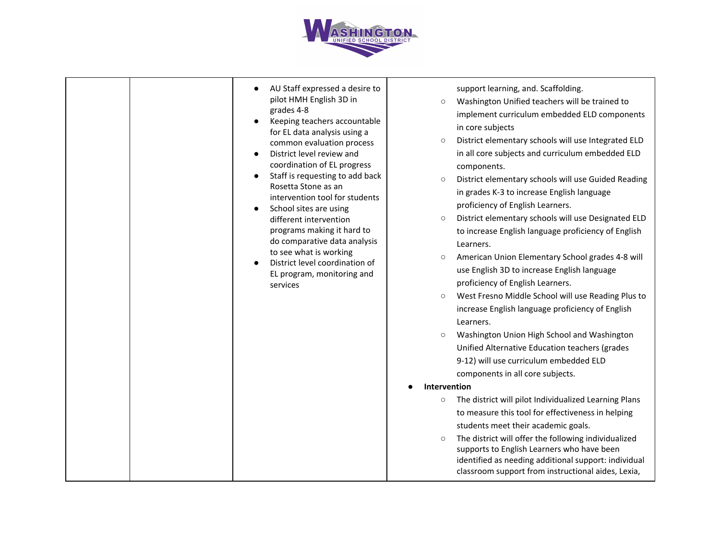

| AU Staff expressed a desire to<br>pilot HMH English 3D in<br>grades 4-8<br>Keeping teachers accountable<br>for EL data analysis using a<br>common evaluation process<br>District level review and<br>coordination of EL progress<br>Staff is requesting to add back<br>Rosetta Stone as an<br>intervention tool for students<br>School sites are using<br>different intervention<br>programs making it hard to<br>do comparative data analysis<br>to see what is working<br>District level coordination of<br>EL program, monitoring and<br>services | support learning, and. Scaffolding.<br>Washington Unified teachers will be trained to<br>$\circ$<br>implement curriculum embedded ELD components<br>in core subjects<br>District elementary schools will use Integrated ELD<br>$\circ$<br>in all core subjects and curriculum embedded ELD<br>components.<br>District elementary schools will use Guided Reading<br>$\circ$<br>in grades K-3 to increase English language<br>proficiency of English Learners.<br>District elementary schools will use Designated ELD<br>$\circ$<br>to increase English language proficiency of English<br>Learners.<br>American Union Elementary School grades 4-8 will<br>$\circ$<br>use English 3D to increase English language<br>proficiency of English Learners.<br>West Fresno Middle School will use Reading Plus to<br>$\circ$<br>increase English language proficiency of English<br>Learners.<br>Washington Union High School and Washington<br>$\circ$<br>Unified Alternative Education teachers (grades<br>9-12) will use curriculum embedded ELD<br>components in all core subjects.<br>Intervention<br>The district will pilot Individualized Learning Plans<br>$\circ$<br>to measure this tool for effectiveness in helping<br>students meet their academic goals.<br>The district will offer the following individualized<br>$\circ$<br>supports to English Learners who have been<br>identified as needing additional support: individual<br>classroom support from instructional aides, Lexia, |
|------------------------------------------------------------------------------------------------------------------------------------------------------------------------------------------------------------------------------------------------------------------------------------------------------------------------------------------------------------------------------------------------------------------------------------------------------------------------------------------------------------------------------------------------------|--------------------------------------------------------------------------------------------------------------------------------------------------------------------------------------------------------------------------------------------------------------------------------------------------------------------------------------------------------------------------------------------------------------------------------------------------------------------------------------------------------------------------------------------------------------------------------------------------------------------------------------------------------------------------------------------------------------------------------------------------------------------------------------------------------------------------------------------------------------------------------------------------------------------------------------------------------------------------------------------------------------------------------------------------------------------------------------------------------------------------------------------------------------------------------------------------------------------------------------------------------------------------------------------------------------------------------------------------------------------------------------------------------------------------------------------------------------------------------------------------|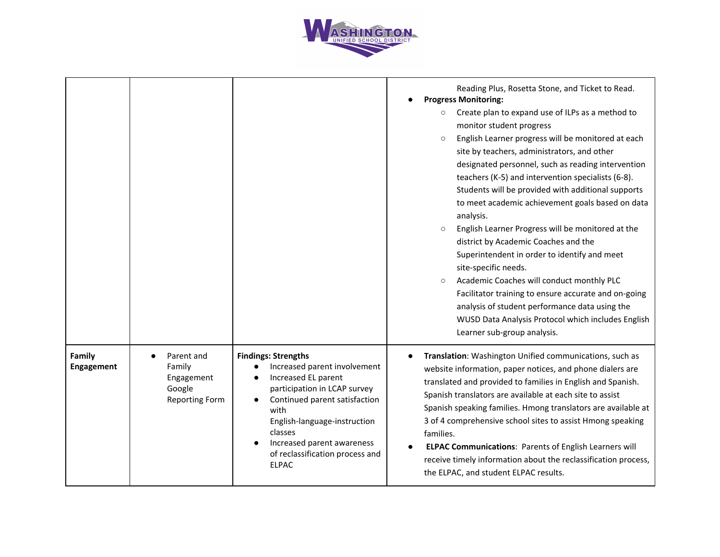

|                      |                                                                       |                                                                                                                                                                                                                                                                                        | Reading Plus, Rosetta Stone, and Ticket to Read.<br><b>Progress Monitoring:</b><br>Create plan to expand use of ILPs as a method to<br>$\circ$<br>monitor student progress<br>English Learner progress will be monitored at each<br>$\circ$<br>site by teachers, administrators, and other<br>designated personnel, such as reading intervention<br>teachers (K-5) and intervention specialists (6-8).<br>Students will be provided with additional supports<br>to meet academic achievement goals based on data<br>analysis.<br>English Learner Progress will be monitored at the<br>$\circ$<br>district by Academic Coaches and the<br>Superintendent in order to identify and meet<br>site-specific needs.<br>Academic Coaches will conduct monthly PLC<br>$\circ$<br>Facilitator training to ensure accurate and on-going |
|----------------------|-----------------------------------------------------------------------|----------------------------------------------------------------------------------------------------------------------------------------------------------------------------------------------------------------------------------------------------------------------------------------|-------------------------------------------------------------------------------------------------------------------------------------------------------------------------------------------------------------------------------------------------------------------------------------------------------------------------------------------------------------------------------------------------------------------------------------------------------------------------------------------------------------------------------------------------------------------------------------------------------------------------------------------------------------------------------------------------------------------------------------------------------------------------------------------------------------------------------|
|                      |                                                                       |                                                                                                                                                                                                                                                                                        | analysis of student performance data using the<br>WUSD Data Analysis Protocol which includes English<br>Learner sub-group analysis.                                                                                                                                                                                                                                                                                                                                                                                                                                                                                                                                                                                                                                                                                           |
| Family<br>Engagement | Parent and<br>Family<br>Engagement<br>Google<br><b>Reporting Form</b> | <b>Findings: Strengths</b><br>Increased parent involvement<br>Increased EL parent<br>participation in LCAP survey<br>Continued parent satisfaction<br>with<br>English-language-instruction<br>classes<br>Increased parent awareness<br>of reclassification process and<br><b>ELPAC</b> | Translation: Washington Unified communications, such as<br>website information, paper notices, and phone dialers are<br>translated and provided to families in English and Spanish.<br>Spanish translators are available at each site to assist<br>Spanish speaking families. Hmong translators are available at<br>3 of 4 comprehensive school sites to assist Hmong speaking<br>families.<br><b>ELPAC Communications: Parents of English Learners will</b><br>receive timely information about the reclassification process,<br>the ELPAC, and student ELPAC results.                                                                                                                                                                                                                                                       |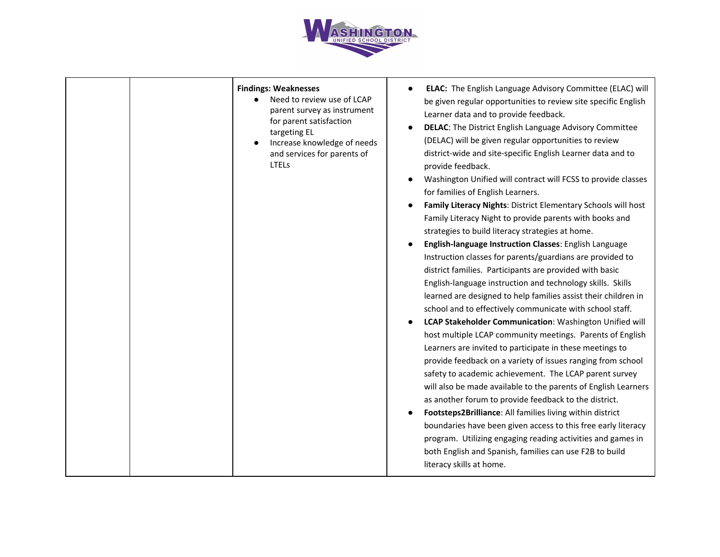

| <b>Findings: Weaknesses</b><br>Need to review use of LCAP<br>parent survey as instrument<br>for parent satisfaction<br>targeting EL<br>Increase knowledge of needs<br>and services for parents of<br>LTELs | ELAC: The English Language Advisory Committee (ELAC) will<br>be given regular opportunities to review site specific English<br>Learner data and to provide feedback.<br><b>DELAC:</b> The District English Language Advisory Committee<br>(DELAC) will be given regular opportunities to review<br>district-wide and site-specific English Learner data and to<br>provide feedback.<br>Washington Unified will contract will FCSS to provide classes<br>for families of English Learners.<br>Family Literacy Nights: District Elementary Schools will host<br>Family Literacy Night to provide parents with books and<br>strategies to build literacy strategies at home.<br>English-language Instruction Classes: English Language<br>Instruction classes for parents/guardians are provided to<br>district families. Participants are provided with basic<br>English-language instruction and technology skills. Skills<br>learned are designed to help families assist their children in<br>school and to effectively communicate with school staff.<br>LCAP Stakeholder Communication: Washington Unified will<br>host multiple LCAP community meetings. Parents of English<br>Learners are invited to participate in these meetings to<br>provide feedback on a variety of issues ranging from school<br>safety to academic achievement. The LCAP parent survey<br>will also be made available to the parents of English Learners<br>as another forum to provide feedback to the district.<br>Footsteps2Brilliance: All families living within district<br>boundaries have been given access to this free early literacy<br>program. Utilizing engaging reading activities and games in<br>both English and Spanish, families can use F2B to build<br>literacy skills at home. |
|------------------------------------------------------------------------------------------------------------------------------------------------------------------------------------------------------------|-------------------------------------------------------------------------------------------------------------------------------------------------------------------------------------------------------------------------------------------------------------------------------------------------------------------------------------------------------------------------------------------------------------------------------------------------------------------------------------------------------------------------------------------------------------------------------------------------------------------------------------------------------------------------------------------------------------------------------------------------------------------------------------------------------------------------------------------------------------------------------------------------------------------------------------------------------------------------------------------------------------------------------------------------------------------------------------------------------------------------------------------------------------------------------------------------------------------------------------------------------------------------------------------------------------------------------------------------------------------------------------------------------------------------------------------------------------------------------------------------------------------------------------------------------------------------------------------------------------------------------------------------------------------------------------------------------------------------------------------------------------------------------------|
|------------------------------------------------------------------------------------------------------------------------------------------------------------------------------------------------------------|-------------------------------------------------------------------------------------------------------------------------------------------------------------------------------------------------------------------------------------------------------------------------------------------------------------------------------------------------------------------------------------------------------------------------------------------------------------------------------------------------------------------------------------------------------------------------------------------------------------------------------------------------------------------------------------------------------------------------------------------------------------------------------------------------------------------------------------------------------------------------------------------------------------------------------------------------------------------------------------------------------------------------------------------------------------------------------------------------------------------------------------------------------------------------------------------------------------------------------------------------------------------------------------------------------------------------------------------------------------------------------------------------------------------------------------------------------------------------------------------------------------------------------------------------------------------------------------------------------------------------------------------------------------------------------------------------------------------------------------------------------------------------------------|